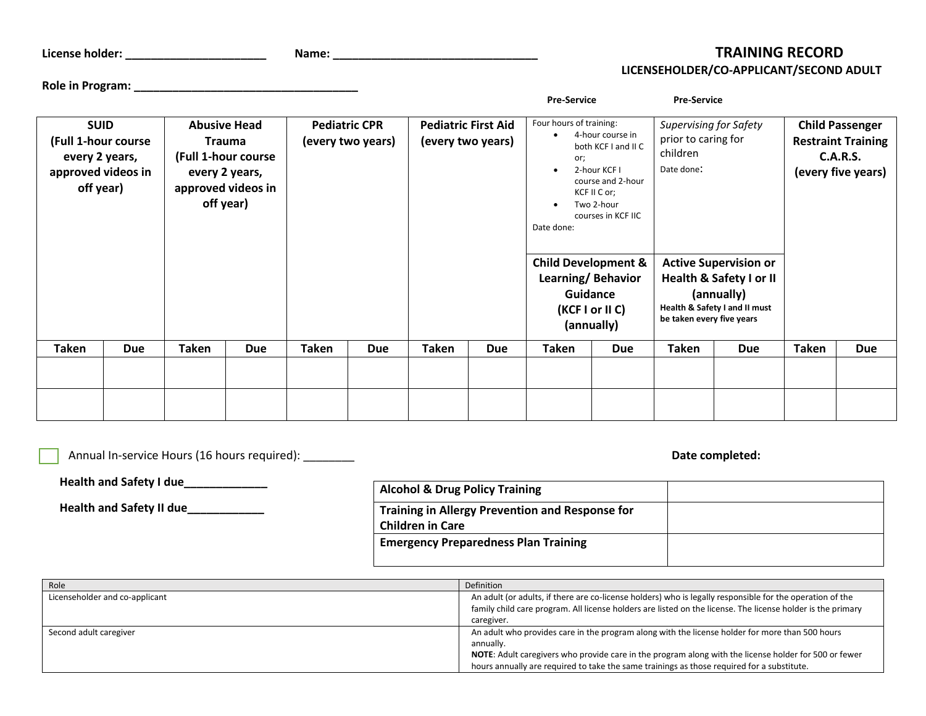| License holder: |  |  |
|-----------------|--|--|
|-----------------|--|--|

**Role in Program: \_\_\_\_\_\_\_\_\_\_\_\_\_\_\_\_\_\_\_\_\_\_\_\_\_\_\_\_\_\_\_\_\_\_\_** 

## **License holder: \_\_\_\_\_\_\_\_\_\_\_\_\_\_\_\_\_\_\_\_\_\_ Name: \_\_\_\_\_\_\_\_\_\_\_\_\_\_\_\_\_\_\_\_\_\_\_\_\_\_\_\_\_\_\_\_ TRAINING RECORD LICENSEHOLDER/CO-APPLICANT/SECOND ADULT**

|                                                                                         |  |                                                                                                                  |  |                                           |  |                                                 |  | <b>Pre-Service</b>                                                                                                                                                                                                                                                                                             |  | <b>Pre-Service</b>                                                                                                                                                                                                               |  |                                                                                              |  |
|-----------------------------------------------------------------------------------------|--|------------------------------------------------------------------------------------------------------------------|--|-------------------------------------------|--|-------------------------------------------------|--|----------------------------------------------------------------------------------------------------------------------------------------------------------------------------------------------------------------------------------------------------------------------------------------------------------------|--|----------------------------------------------------------------------------------------------------------------------------------------------------------------------------------------------------------------------------------|--|----------------------------------------------------------------------------------------------|--|
| <b>SUID</b><br>(Full 1-hour course<br>every 2 years,<br>approved videos in<br>off year) |  | <b>Abusive Head</b><br><b>Trauma</b><br>(Full 1-hour course<br>every 2 years,<br>approved videos in<br>off year) |  | <b>Pediatric CPR</b><br>(every two years) |  | <b>Pediatric First Aid</b><br>(every two years) |  | Four hours of training:<br>4-hour course in<br>both KCF I and II C<br>or;<br>2-hour KCF I<br>$\bullet$<br>course and 2-hour<br>KCF II C or;<br>Two 2-hour<br>$\bullet$<br>courses in KCF IIC<br>Date done:<br><b>Child Development &amp;</b><br>Learning/Behavior<br>Guidance<br>(KCF I or II C)<br>(annually) |  | <b>Supervising for Safety</b><br>prior to caring for<br>children<br>Date done:<br><b>Active Supervision or</b><br><b>Health &amp; Safety I or II</b><br>(annually)<br>Health & Safety I and II must<br>be taken every five years |  | <b>Child Passenger</b><br><b>Restraint Training</b><br><b>C.A.R.S.</b><br>(every five years) |  |
|                                                                                         |  |                                                                                                                  |  |                                           |  |                                                 |  |                                                                                                                                                                                                                                                                                                                |  |                                                                                                                                                                                                                                  |  |                                                                                              |  |
|                                                                                         |  |                                                                                                                  |  |                                           |  |                                                 |  |                                                                                                                                                                                                                                                                                                                |  |                                                                                                                                                                                                                                  |  |                                                                                              |  |

| Annual In-service Hours (16 hours required): |                                                                                   | Date completed: |
|----------------------------------------------|-----------------------------------------------------------------------------------|-----------------|
| Health and Safety I due                      | <b>Alcohol &amp; Drug Policy Training</b>                                         |                 |
| <b>Health and Safety II due</b>              | <b>Training in Allergy Prevention and Response for</b><br><b>Children in Care</b> |                 |
|                                              | <b>Emergency Preparedness Plan Training</b>                                       |                 |
|                                              |                                                                                   |                 |

| Role                           | <b>Definition</b>                                                                                                                                                                                                                                                                                                   |
|--------------------------------|---------------------------------------------------------------------------------------------------------------------------------------------------------------------------------------------------------------------------------------------------------------------------------------------------------------------|
| Licenseholder and co-applicant | An adult (or adults, if there are co-license holders) who is legally responsible for the operation of the<br>family child care program. All license holders are listed on the license. The license holder is the primary<br>caregiver.                                                                              |
| Second adult caregiver         | An adult who provides care in the program along with the license holder for more than 500 hours<br>annually.<br>NOTE: Adult caregivers who provide care in the program along with the license holder for 500 or fewer<br>hours annually are required to take the same trainings as those required for a substitute. |